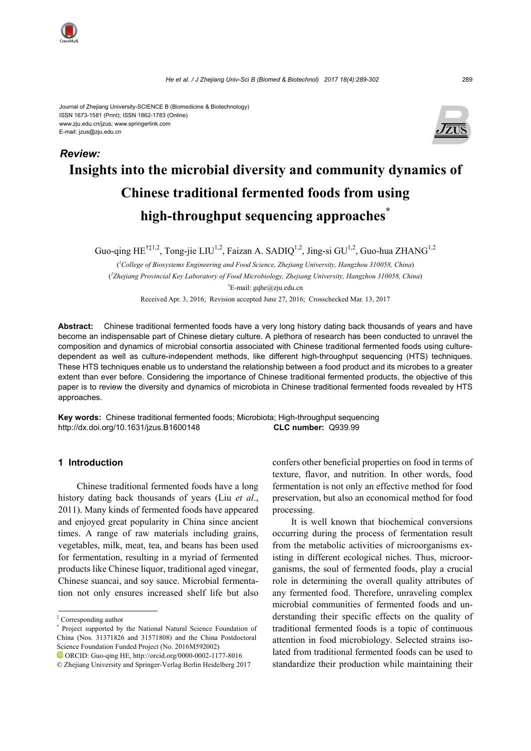Journal of Zhejiang University-SCIENCE B (Biomedicine & Biotechnology) ISSN 1673-1581 (Print); ISSN 1862-1783 (Online) www.zju.edu.cn/jzus; www.springerlink.com E-mail: jzus@zju.edu.cn



# **Insights into the microbial diversity and community dynamics of Chinese traditional fermented foods from using high-throughput sequencing approaches\*** *Review:*

Guo-qing HE<sup>†‡1,2</sup>, Tong-jie LIU<sup>1,2</sup>, Faizan A. SADIO<sup>1,2</sup>, Jing-si GU<sup>1,2</sup>, Guo-hua ZHANG<sup>1,2</sup>

( *1 College of Biosystems Engineering and Food Science, Zhejiang University, Hangzhou 310058, China*) ( *2 Zhejiang Provincial Key Laboratory of Food Microbiology, Zhejiang University, Hangzhou 310058, China*) † E-mail: gqhe@zju.edu.cn

Received Apr. 3, 2016; Revision accepted June 27, 2016; Crosschecked Mar. 13, 2017

**Abstract:** Chinese traditional fermented foods have a very long history dating back thousands of years and have become an indispensable part of Chinese dietary culture. A plethora of research has been conducted to unravel the composition and dynamics of microbial consortia associated with Chinese traditional fermented foods using culturedependent as well as culture-independent methods, like different high-throughput sequencing (HTS) techniques. These HTS techniques enable us to understand the relationship between a food product and its microbes to a greater extent than ever before. Considering the importance of Chinese traditional fermented products, the objective of this paper is to review the diversity and dynamics of microbiota in Chinese traditional fermented foods revealed by HTS approaches.

**Key words:** Chinese traditional fermented foods; Microbiota; High-throughput sequencing http://dx.doi.org/10.1631/jzus.B1600148 **CLC number:** Q939.99

## **1 Introduction**

Chinese traditional fermented foods have a long history dating back thousands of years (Liu *et al*., 2011). Many kinds of fermented foods have appeared and enjoyed great popularity in China since ancient times. A range of raw materials including grains, vegetables, milk, meat, tea, and beans has been used for fermentation, resulting in a myriad of fermented products like Chinese liquor, traditional aged vinegar, Chinese suancai, and soy sauce. Microbial fermentation not only ensures increased shelf life but also confers other beneficial properties on food in terms of texture, flavor, and nutrition. In other words, food fermentation is not only an effective method for food preservation, but also an economical method for food processing.

It is well known that biochemical conversions occurring during the process of fermentation result from the metabolic activities of microorganisms existing in different ecological niches. Thus, microorganisms, the soul of fermented foods, play a crucial role in determining the overall quality attributes of any fermented food. Therefore, unraveling complex microbial communities of fermented foods and understanding their specific effects on the quality of traditional fermented foods is a topic of continuous attention in food microbiology. Selected strains isolated from traditional fermented foods can be used to standardize their production while maintaining their

<sup>‡</sup> Corresponding author

<sup>\*</sup> Project supported by the National Natural Science Foundation of China (Nos. 31371826 and 31571808) and the China Postdoctoral Science Foundation Funded Project (No. 2016M592002)

ORCID: Guo-qing HE, http://orcid.org/0000-0002-1177-8016 © Zhejiang University and Springer-Verlag Berlin Heidelberg 2017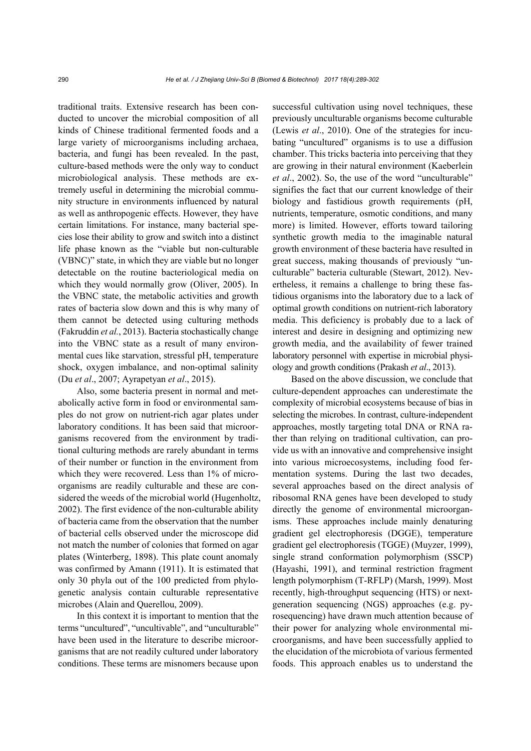traditional traits. Extensive research has been conducted to uncover the microbial composition of all kinds of Chinese traditional fermented foods and a large variety of microorganisms including archaea, bacteria, and fungi has been revealed. In the past, culture-based methods were the only way to conduct microbiological analysis. These methods are extremely useful in determining the microbial community structure in environments influenced by natural as well as anthropogenic effects. However, they have certain limitations. For instance, many bacterial species lose their ability to grow and switch into a distinct life phase known as the "viable but non-culturable (VBNC)" state, in which they are viable but no longer detectable on the routine bacteriological media on which they would normally grow (Oliver, 2005). In the VBNC state, the metabolic activities and growth rates of bacteria slow down and this is why many of them cannot be detected using culturing methods (Fakruddin *et al.*, 2013). Bacteria stochastically change into the VBNC state as a result of many environmental cues like starvation, stressful pH, temperature shock, oxygen imbalance, and non-optimal salinity (Du *et al*., 2007; Ayrapetyan *et al*., 2015).

Also, some bacteria present in normal and metabolically active form in food or environmental samples do not grow on nutrient-rich agar plates under laboratory conditions. It has been said that microorganisms recovered from the environment by traditional culturing methods are rarely abundant in terms of their number or function in the environment from which they were recovered. Less than 1% of microorganisms are readily culturable and these are considered the weeds of the microbial world (Hugenholtz, 2002). The first evidence of the non-culturable ability of bacteria came from the observation that the number of bacterial cells observed under the microscope did not match the number of colonies that formed on agar plates (Winterberg, 1898). This plate count anomaly was confirmed by Amann (1911). It is estimated that only 30 phyla out of the 100 predicted from phylogenetic analysis contain culturable representative microbes (Alain and Querellou, 2009).

In this context it is important to mention that the terms "uncultured", "uncultivable", and "unculturable" have been used in the literature to describe microorganisms that are not readily cultured under laboratory conditions. These terms are misnomers because upon

successful cultivation using novel techniques, these previously unculturable organisms become culturable (Lewis *et al*., 2010). One of the strategies for incubating "uncultured" organisms is to use a diffusion chamber. This tricks bacteria into perceiving that they are growing in their natural environment (Kaeberlein *et al*., 2002). So, the use of the word "unculturable" signifies the fact that our current knowledge of their biology and fastidious growth requirements (pH, nutrients, temperature, osmotic conditions, and many more) is limited. However, efforts toward tailoring synthetic growth media to the imaginable natural growth environment of these bacteria have resulted in great success, making thousands of previously "unculturable" bacteria culturable (Stewart, 2012). Nevertheless, it remains a challenge to bring these fastidious organisms into the laboratory due to a lack of optimal growth conditions on nutrient-rich laboratory media. This deficiency is probably due to a lack of interest and desire in designing and optimizing new growth media, and the availability of fewer trained laboratory personnel with expertise in microbial physiology and growth conditions (Prakash *et al*., 2013).

Based on the above discussion, we conclude that culture-dependent approaches can underestimate the complexity of microbial ecosystems because of bias in selecting the microbes. In contrast, culture-independent approaches, mostly targeting total DNA or RNA rather than relying on traditional cultivation, can provide us with an innovative and comprehensive insight into various microecosystems, including food fermentation systems. During the last two decades, several approaches based on the direct analysis of ribosomal RNA genes have been developed to study directly the genome of environmental microorganisms. These approaches include mainly denaturing gradient gel electrophoresis (DGGE), temperature gradient gel electrophoresis (TGGE) (Muyzer, 1999), single strand conformation polymorphism (SSCP) (Hayashi, 1991), and terminal restriction fragment length polymorphism (T-RFLP) (Marsh, 1999). Most recently, high-throughput sequencing (HTS) or nextgeneration sequencing (NGS) approaches (e.g. pyrosequencing) have drawn much attention because of their power for analyzing whole environmental microorganisms, and have been successfully applied to the elucidation of the microbiota of various fermented foods. This approach enables us to understand the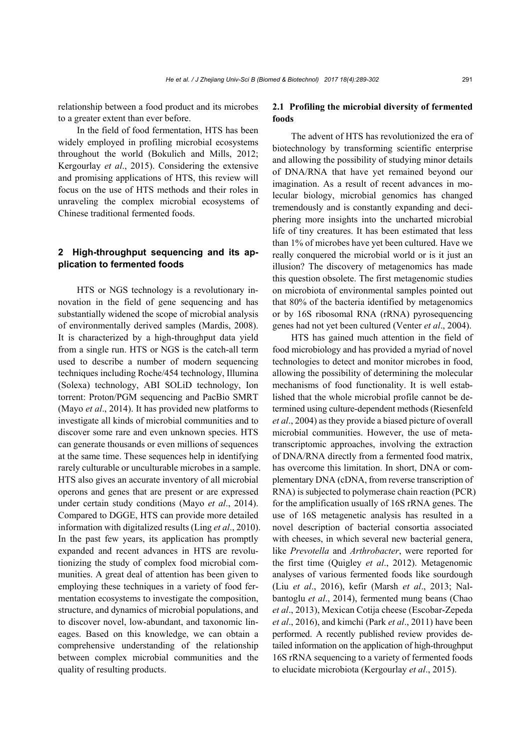relationship between a food product and its microbes to a greater extent than ever before.

In the field of food fermentation, HTS has been widely employed in profiling microbial ecosystems throughout the world (Bokulich and Mills, 2012; Kergourlay *et al*., 2015). Considering the extensive and promising applications of HTS, this review will focus on the use of HTS methods and their roles in unraveling the complex microbial ecosystems of Chinese traditional fermented foods.

## **2 High-throughput sequencing and its application to fermented foods**

HTS or NGS technology is a revolutionary innovation in the field of gene sequencing and has substantially widened the scope of microbial analysis of environmentally derived samples (Mardis, 2008). It is characterized by a high-throughput data yield from a single run. HTS or NGS is the catch-all term used to describe a number of modern sequencing techniques including Roche/454 technology, Illumina (Solexa) technology, ABI SOLiD technology, Ion torrent: Proton/PGM sequencing and PacBio SMRT (Mayo *et al*., 2014). It has provided new platforms to investigate all kinds of microbial communities and to discover some rare and even unknown species. HTS can generate thousands or even millions of sequences at the same time. These sequences help in identifying rarely culturable or unculturable microbes in a sample. HTS also gives an accurate inventory of all microbial operons and genes that are present or are expressed under certain study conditions (Mayo *et al*., 2014). Compared to DGGE, HTS can provide more detailed information with digitalized results (Ling *et al*., 2010). In the past few years, its application has promptly expanded and recent advances in HTS are revolutionizing the study of complex food microbial communities. A great deal of attention has been given to employing these techniques in a variety of food fermentation ecosystems to investigate the composition, structure, and dynamics of microbial populations, and to discover novel, low-abundant, and taxonomic lineages. Based on this knowledge, we can obtain a comprehensive understanding of the relationship between complex microbial communities and the quality of resulting products.

## **2.1 Profiling the microbial diversity of fermented foods**

The advent of HTS has revolutionized the era of biotechnology by transforming scientific enterprise and allowing the possibility of studying minor details of DNA/RNA that have yet remained beyond our imagination. As a result of recent advances in molecular biology, microbial genomics has changed tremendously and is constantly expanding and deciphering more insights into the uncharted microbial life of tiny creatures. It has been estimated that less than 1% of microbes have yet been cultured. Have we really conquered the microbial world or is it just an illusion? The discovery of metagenomics has made this question obsolete. The first metagenomic studies on microbiota of environmental samples pointed out that 80% of the bacteria identified by metagenomics or by 16S ribosomal RNA (rRNA) pyrosequencing genes had not yet been cultured (Venter *et al*., 2004).

HTS has gained much attention in the field of food microbiology and has provided a myriad of novel technologies to detect and monitor microbes in food, allowing the possibility of determining the molecular mechanisms of food functionality. It is well established that the whole microbial profile cannot be determined using culture-dependent methods (Riesenfeld *et al*., 2004) as they provide a biased picture of overall microbial communities. However, the use of metatranscriptomic approaches, involving the extraction of DNA/RNA directly from a fermented food matrix, has overcome this limitation. In short, DNA or complementary DNA (cDNA, from reverse transcription of RNA) is subjected to polymerase chain reaction (PCR) for the amplification usually of 16S rRNA genes. The use of 16S metagenetic analysis has resulted in a novel description of bacterial consortia associated with cheeses, in which several new bacterial genera, like *Prevotella* and *Arthrobacter*, were reported for the first time (Quigley *et al*., 2012). Metagenomic analyses of various fermented foods like sourdough (Liu *et al*., 2016), kefir (Marsh *et al*., 2013; Nalbantoglu *et al*., 2014), fermented mung beans (Chao *et al*., 2013), Mexican Cotija cheese (Escobar-Zepeda *et al*., 2016), and kimchi (Park *et al*., 2011) have been performed. A recently published review provides detailed information on the application of high-throughput 16S rRNA sequencing to a variety of fermented foods to elucidate microbiota (Kergourlay *et al*., 2015).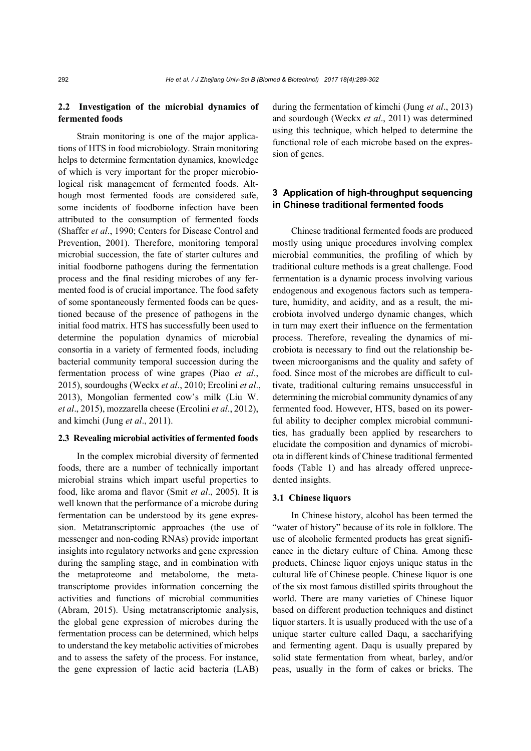## **2.2 Investigation of the microbial dynamics of fermented foods**

Strain monitoring is one of the major applications of HTS in food microbiology. Strain monitoring helps to determine fermentation dynamics, knowledge of which is very important for the proper microbiological risk management of fermented foods. Although most fermented foods are considered safe, some incidents of foodborne infection have been attributed to the consumption of fermented foods (Shaffer *et al*., 1990; Centers for Disease Control and Prevention, 2001). Therefore, monitoring temporal microbial succession, the fate of starter cultures and initial foodborne pathogens during the fermentation process and the final residing microbes of any fermented food is of crucial importance. The food safety of some spontaneously fermented foods can be questioned because of the presence of pathogens in the initial food matrix. HTS has successfully been used to determine the population dynamics of microbial consortia in a variety of fermented foods, including bacterial community temporal succession during the fermentation process of wine grapes (Piao *et al*., 2015), sourdoughs (Weckx *et al*., 2010; Ercolini *et al*., 2013), Mongolian fermented cow's milk (Liu W. *et al*., 2015), mozzarella cheese (Ercolini *et al*., 2012), and kimchi (Jung *et al*., 2011).

## **2.3 Revealing microbial activities of fermented foods**

In the complex microbial diversity of fermented foods, there are a number of technically important microbial strains which impart useful properties to food, like aroma and flavor (Smit *et al*., 2005). It is well known that the performance of a microbe during fermentation can be understood by its gene expression. Metatranscriptomic approaches (the use of messenger and non-coding RNAs) provide important insights into regulatory networks and gene expression during the sampling stage, and in combination with the metaproteome and metabolome, the metatranscriptome provides information concerning the activities and functions of microbial communities (Abram, 2015). Using metatranscriptomic analysis, the global gene expression of microbes during the fermentation process can be determined, which helps to understand the key metabolic activities of microbes and to assess the safety of the process. For instance, the gene expression of lactic acid bacteria (LAB)

during the fermentation of kimchi (Jung *et al*., 2013) and sourdough (Weckx *et al*., 2011) was determined using this technique, which helped to determine the functional role of each microbe based on the expression of genes.

## **3 Application of high-throughput sequencing in Chinese traditional fermented foods**

Chinese traditional fermented foods are produced mostly using unique procedures involving complex microbial communities, the profiling of which by traditional culture methods is a great challenge. Food fermentation is a dynamic process involving various endogenous and exogenous factors such as temperature, humidity, and acidity, and as a result, the microbiota involved undergo dynamic changes, which in turn may exert their influence on the fermentation process. Therefore, revealing the dynamics of microbiota is necessary to find out the relationship between microorganisms and the quality and safety of food. Since most of the microbes are difficult to cultivate, traditional culturing remains unsuccessful in determining the microbial community dynamics of any fermented food. However, HTS, based on its powerful ability to decipher complex microbial communities, has gradually been applied by researchers to elucidate the composition and dynamics of microbiota in different kinds of Chinese traditional fermented foods (Table 1) and has already offered unprecedented insights.

#### **3.1 Chinese liquors**

In Chinese history, alcohol has been termed the "water of history" because of its role in folklore. The use of alcoholic fermented products has great significance in the dietary culture of China. Among these products, Chinese liquor enjoys unique status in the cultural life of Chinese people. Chinese liquor is one of the six most famous distilled spirits throughout the world. There are many varieties of Chinese liquor based on different production techniques and distinct liquor starters. It is usually produced with the use of a unique starter culture called Daqu, a saccharifying and fermenting agent. Daqu is usually prepared by solid state fermentation from wheat, barley, and/or peas, usually in the form of cakes or bricks. The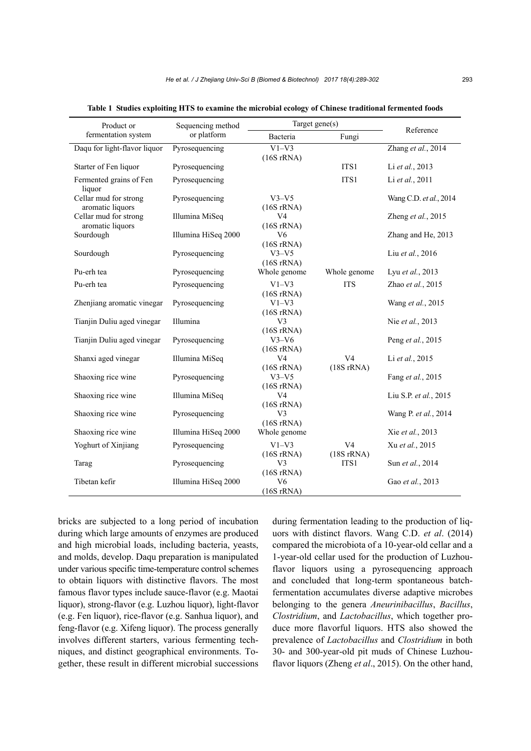| Product or                   | Sequencing method   | Target gene(s)                    |                |                        |
|------------------------------|---------------------|-----------------------------------|----------------|------------------------|
| fermentation system          | or platform         | Bacteria                          | Fungi          | Reference              |
| Daqu for light-flavor liquor | Pyrosequencing      | $V1-V3$                           |                | Zhang et al., 2014     |
|                              |                     | $(16S \, rRNA)$                   |                |                        |
| Starter of Fen liquor        | Pyrosequencing      |                                   | ITS1           | Li et al., 2013        |
| Fermented grains of Fen      | Pyrosequencing      |                                   | ITS1           | Li et al., 2011        |
| liquor                       |                     |                                   |                |                        |
| Cellar mud for strong        | Pyrosequencing      | $V3-V5$                           |                | Wang C.D. et al., 2014 |
| aromatic liquors             |                     | $(16S \, rRNA)$                   |                |                        |
| Cellar mud for strong        | Illumina MiSeq      | V <sub>4</sub>                    |                | Zheng et al., 2015     |
| aromatic liquors             |                     | $(16S \, rRNA)$                   |                |                        |
| Sourdough                    | Illumina HiSeq 2000 | V <sub>6</sub><br>$(16S \, rRNA)$ |                | Zhang and He, 2013     |
| Sourdough                    | Pyrosequencing      | $V3-V5$                           |                | Liu et al., 2016       |
|                              |                     | $(16S \, rRNA)$                   |                |                        |
| Pu-erh tea                   | Pyrosequencing      | Whole genome                      | Whole genome   | Lyu et al., 2013       |
| Pu-erh tea                   | Pyrosequencing      | $V1-V3$                           | <b>ITS</b>     | Zhao et al., 2015      |
|                              |                     | $(16S \, rRNA)$                   |                |                        |
| Zhenjiang aromatic vinegar   | Pyrosequencing      | $V1-V3$                           |                | Wang et al., 2015      |
|                              |                     | $(16S \, rRNA)$                   |                |                        |
| Tianjin Duliu aged vinegar   | Illumina            | V <sub>3</sub>                    |                | Nie et al., 2013       |
|                              |                     | $(16S \, rRNA)$                   |                |                        |
| Tianjin Duliu aged vinegar   | Pyrosequencing      | $V3-V6$                           |                | Peng et al., 2015      |
|                              |                     | $(16S \, rRNA)$                   |                |                        |
| Shanxi aged vinegar          | Illumina MiSeq      | V <sub>4</sub>                    | V <sub>4</sub> | Li et al., 2015        |
|                              |                     | $(16S \, rRNA)$                   | $(18S\,rRNA)$  |                        |
| Shaoxing rice wine           | Pyrosequencing      | $V3-V5$                           |                | Fang et al., 2015      |
|                              |                     | $(16S \, rRNA)$                   |                |                        |
| Shaoxing rice wine           | Illumina MiSeq      | V <sub>4</sub><br>$(16S \, rRNA)$ |                | Liu S.P. et al., 2015  |
| Shaoxing rice wine           | Pyrosequencing      | V3                                |                | Wang P. et al., 2014   |
|                              |                     | $(16S \, rRNA)$                   |                |                        |
| Shaoxing rice wine           | Illumina HiSeq 2000 | Whole genome                      |                | Xie et al., 2013       |
| Yoghurt of Xinjiang          | Pyrosequencing      | $V1-V3$                           | V <sub>4</sub> | Xu et al., 2015        |
|                              |                     | $(16S \, rRNA)$                   | (18S rRNA)     |                        |
| Tarag                        | Pyrosequencing      | V <sub>3</sub>                    | ITS1           | Sun et al., 2014       |
|                              |                     | $(16S$ rRNA)                      |                |                        |
| Tibetan kefir                | Illumina HiSeq 2000 | V6                                |                | Gao et al., 2013       |
|                              |                     | $(16S \, rRNA)$                   |                |                        |

**Table 1 Studies exploiting HTS to examine the microbial ecology of Chinese traditional fermented foods** 

bricks are subjected to a long period of incubation during which large amounts of enzymes are produced and high microbial loads, including bacteria, yeasts, and molds, develop. Daqu preparation is manipulated under various specific time-temperature control schemes to obtain liquors with distinctive flavors. The most famous flavor types include sauce-flavor (e.g. Maotai liquor), strong-flavor (e.g. Luzhou liquor), light-flavor (e.g. Fen liquor), rice-flavor (e.g. Sanhua liquor), and feng-flavor (e.g. Xifeng liquor). The process generally involves different starters, various fermenting techniques, and distinct geographical environments. Together, these result in different microbial successions during fermentation leading to the production of liquors with distinct flavors. Wang C.D. *et al*. (2014) compared the microbiota of a 10-year-old cellar and a 1-year-old cellar used for the production of Luzhouflavor liquors using a pyrosequencing approach and concluded that long-term spontaneous batchfermentation accumulates diverse adaptive microbes belonging to the genera *Aneurinibacillus*, *Bacillus*, *Clostridium*, and *Lactobacillus*, which together produce more flavorful liquors. HTS also showed the prevalence of *Lactobacillus* and *Clostridium* in both 30- and 300-year-old pit muds of Chinese Luzhouflavor liquors (Zheng *et al*., 2015). On the other hand,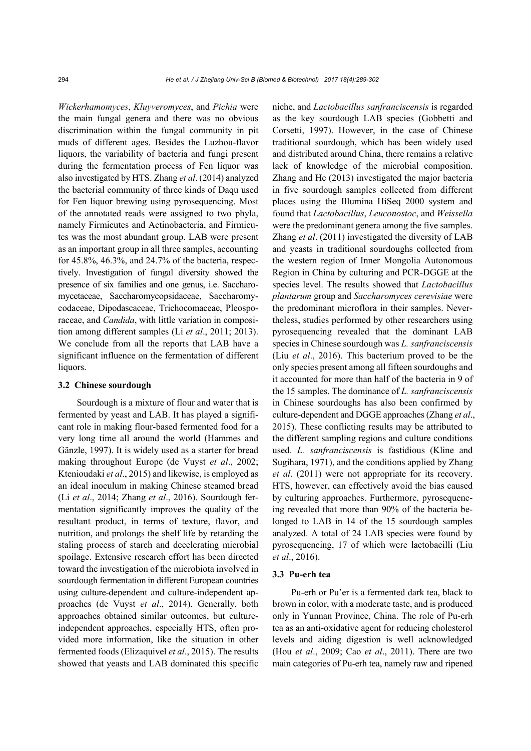*Wickerhamomyces*, *Kluyveromyces*, and *Pichia* were the main fungal genera and there was no obvious discrimination within the fungal community in pit muds of different ages. Besides the Luzhou-flavor liquors, the variability of bacteria and fungi present during the fermentation process of Fen liquor was also investigated by HTS. Zhang *et al*. (2014) analyzed the bacterial community of three kinds of Daqu used for Fen liquor brewing using pyrosequencing. Most of the annotated reads were assigned to two phyla, namely Firmicutes and Actinobacteria, and Firmicutes was the most abundant group. LAB were present as an important group in all three samples, accounting for 45.8%, 46.3%, and 24.7% of the bacteria, respectively. Investigation of fungal diversity showed the presence of six families and one genus, i.e. Saccharomycetaceae, Saccharomycopsidaceae, Saccharomycodaceae, Dipodascaceae, Trichocomaceae, Pleosporaceae, and *Candida*, with little variation in composition among different samples (Li *et al*., 2011; 2013). We conclude from all the reports that LAB have a significant influence on the fermentation of different liquors.

## **3.2 Chinese sourdough**

Sourdough is a mixture of flour and water that is fermented by yeast and LAB. It has played a significant role in making flour-based fermented food for a very long time all around the world (Hammes and Gänzle, 1997). It is widely used as a starter for bread making throughout Europe (de Vuyst *et al*., 2002; Ktenioudaki *et al*., 2015) and likewise, is employed as an ideal inoculum in making Chinese steamed bread (Li *et al*., 2014; Zhang *et al*., 2016). Sourdough fermentation significantly improves the quality of the resultant product, in terms of texture, flavor, and nutrition, and prolongs the shelf life by retarding the staling process of starch and decelerating microbial spoilage. Extensive research effort has been directed toward the investigation of the microbiota involved in sourdough fermentation in different European countries using culture-dependent and culture-independent approaches (de Vuyst *et al*., 2014). Generally, both approaches obtained similar outcomes, but cultureindependent approaches, especially HTS, often provided more information, like the situation in other fermented foods (Elizaquivel *et al*., 2015). The results showed that yeasts and LAB dominated this specific niche, and *Lactobacillus sanfranciscensis* is regarded as the key sourdough LAB species (Gobbetti and Corsetti, 1997). However, in the case of Chinese traditional sourdough, which has been widely used and distributed around China, there remains a relative lack of knowledge of the microbial composition. Zhang and He (2013) investigated the major bacteria in five sourdough samples collected from different places using the Illumina HiSeq 2000 system and found that *Lactobacillus*, *Leuconostoc*, and *Weissella* were the predominant genera among the five samples. Zhang *et al*. (2011) investigated the diversity of LAB and yeasts in traditional sourdoughs collected from the western region of Inner Mongolia Autonomous Region in China by culturing and PCR-DGGE at the species level. The results showed that *Lactobacillus plantarum* group and *Saccharomyces cerevisiae* were the predominant microflora in their samples. Nevertheless, studies performed by other researchers using pyrosequencing revealed that the dominant LAB species in Chinese sourdough was *L. sanfranciscensis* (Liu *et al*., 2016). This bacterium proved to be the only species present among all fifteen sourdoughs and it accounted for more than half of the bacteria in 9 of the 15 samples. The dominance of *L. sanfranciscensis* in Chinese sourdoughs has also been confirmed by culture-dependent and DGGE approaches (Zhang *et al*., 2015). These conflicting results may be attributed to the different sampling regions and culture conditions used. *L. sanfranciscensis* is fastidious (Kline and Sugihara, 1971), and the conditions applied by Zhang *et al*. (2011) were not appropriate for its recovery. HTS, however, can effectively avoid the bias caused by culturing approaches. Furthermore, pyrosequencing revealed that more than 90% of the bacteria belonged to LAB in 14 of the 15 sourdough samples analyzed. A total of 24 LAB species were found by pyrosequencing, 17 of which were lactobacilli (Liu *et al*., 2016).

#### **3.3 Pu-erh tea**

Pu-erh or Pu'er is a fermented dark tea, black to brown in color, with a moderate taste, and is produced only in Yunnan Province, China. The role of Pu-erh tea as an anti-oxidative agent for reducing cholesterol levels and aiding digestion is well acknowledged (Hou *et al*., 2009; Cao *et al*., 2011). There are two main categories of Pu-erh tea, namely raw and ripened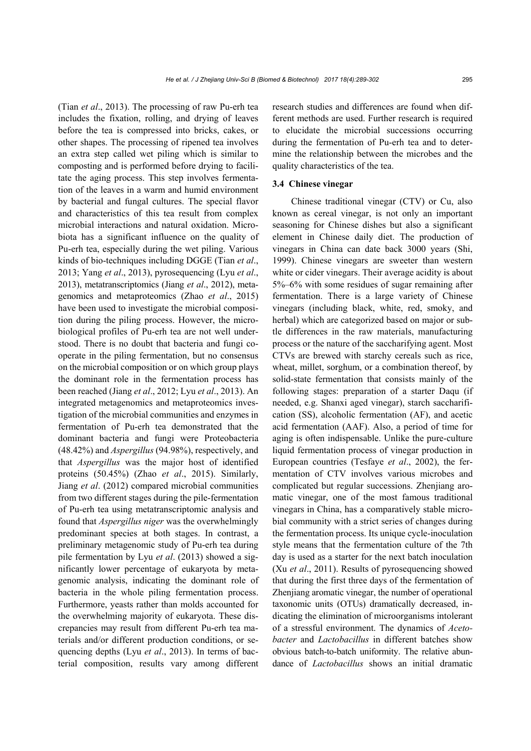(Tian *et al*., 2013). The processing of raw Pu-erh tea includes the fixation, rolling, and drying of leaves before the tea is compressed into bricks, cakes, or other shapes. The processing of ripened tea involves an extra step called wet piling which is similar to composting and is performed before drying to facilitate the aging process. This step involves fermentation of the leaves in a warm and humid environment by bacterial and fungal cultures. The special flavor and characteristics of this tea result from complex microbial interactions and natural oxidation. Microbiota has a significant influence on the quality of Pu-erh tea, especially during the wet piling. Various kinds of bio-techniques including DGGE (Tian *et al*., 2013; Yang *et al*., 2013), pyrosequencing (Lyu *et al*., 2013), metatranscriptomics (Jiang *et al*., 2012), metagenomics and metaproteomics (Zhao *et al*., 2015) have been used to investigate the microbial composition during the piling process. However, the microbiological profiles of Pu-erh tea are not well understood. There is no doubt that bacteria and fungi cooperate in the piling fermentation, but no consensus on the microbial composition or on which group plays the dominant role in the fermentation process has been reached (Jiang *et al*., 2012; Lyu *et al*., 2013). An integrated metagenomics and metaproteomics investigation of the microbial communities and enzymes in fermentation of Pu-erh tea demonstrated that the dominant bacteria and fungi were Proteobacteria (48.42%) and *Aspergillus* (94.98%), respectively, and that *Aspergillus* was the major host of identified proteins (50.45%) (Zhao *et al*., 2015). Similarly, Jiang *et al*. (2012) compared microbial communities from two different stages during the pile-fermentation of Pu-erh tea using metatranscriptomic analysis and found that *Aspergillus niger* was the overwhelmingly predominant species at both stages. In contrast, a preliminary metagenomic study of Pu-erh tea during pile fermentation by Lyu *et al*. (2013) showed a significantly lower percentage of eukaryota by metagenomic analysis, indicating the dominant role of bacteria in the whole piling fermentation process. Furthermore, yeasts rather than molds accounted for the overwhelming majority of eukaryota. These discrepancies may result from different Pu-erh tea materials and/or different production conditions, or sequencing depths (Lyu *et al*., 2013). In terms of bacterial composition, results vary among different research studies and differences are found when different methods are used. Further research is required to elucidate the microbial successions occurring during the fermentation of Pu-erh tea and to determine the relationship between the microbes and the quality characteristics of the tea.

#### **3.4 Chinese vinegar**

Chinese traditional vinegar (CTV) or Cu, also known as cereal vinegar, is not only an important seasoning for Chinese dishes but also a significant element in Chinese daily diet. The production of vinegars in China can date back 3000 years (Shi, 1999). Chinese vinegars are sweeter than western white or cider vinegars. Their average acidity is about 5%–6% with some residues of sugar remaining after fermentation. There is a large variety of Chinese vinegars (including black, white, red, smoky, and herbal) which are categorized based on major or subtle differences in the raw materials, manufacturing process or the nature of the saccharifying agent. Most CTVs are brewed with starchy cereals such as rice, wheat, millet, sorghum, or a combination thereof, by solid-state fermentation that consists mainly of the following stages: preparation of a starter Daqu (if needed, e.g. Shanxi aged vinegar), starch saccharification (SS), alcoholic fermentation (AF), and acetic acid fermentation (AAF). Also, a period of time for aging is often indispensable. Unlike the pure-culture liquid fermentation process of vinegar production in European countries (Tesfaye *et al*., 2002), the fermentation of CTV involves various microbes and complicated but regular successions. Zhenjiang aromatic vinegar, one of the most famous traditional vinegars in China, has a comparatively stable microbial community with a strict series of changes during the fermentation process. Its unique cycle-inoculation style means that the fermentation culture of the 7th day is used as a starter for the next batch inoculation (Xu *et al*., 2011). Results of pyrosequencing showed that during the first three days of the fermentation of Zhenjiang aromatic vinegar, the number of operational taxonomic units (OTUs) dramatically decreased, indicating the elimination of microorganisms intolerant of a stressful environment. The dynamics of *Acetobacter* and *Lactobacillus* in different batches show obvious batch-to-batch uniformity. The relative abundance of *Lactobacillus* shows an initial dramatic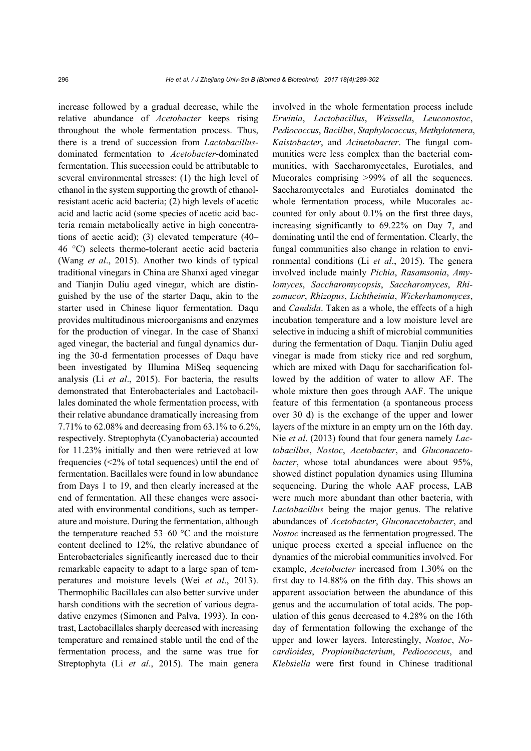increase followed by a gradual decrease, while the relative abundance of *Acetobacter* keeps rising throughout the whole fermentation process. Thus, there is a trend of succession from *Lactobacillus*dominated fermentation to *Acetobacter*-dominated fermentation. This succession could be attributable to several environmental stresses: (1) the high level of ethanol in the system supporting the growth of ethanolresistant acetic acid bacteria; (2) high levels of acetic acid and lactic acid (some species of acetic acid bacteria remain metabolically active in high concentrations of acetic acid); (3) elevated temperature (40– 46 °C) selects thermo-tolerant acetic acid bacteria (Wang *et al*., 2015). Another two kinds of typical traditional vinegars in China are Shanxi aged vinegar and Tianjin Duliu aged vinegar, which are distinguished by the use of the starter Daqu, akin to the starter used in Chinese liquor fermentation. Daqu provides multitudinous microorganisms and enzymes for the production of vinegar. In the case of Shanxi aged vinegar, the bacterial and fungal dynamics during the 30-d fermentation processes of Daqu have been investigated by Illumina MiSeq sequencing analysis (Li *et al*., 2015). For bacteria, the results demonstrated that Enterobacteriales and Lactobacillales dominated the whole fermentation process, with their relative abundance dramatically increasing from 7.71% to 62.08% and decreasing from 63.1% to 6.2%, respectively. Streptophyta (Cyanobacteria) accounted for 11.23% initially and then were retrieved at low frequencies (<2% of total sequences) until the end of fermentation. Bacillales were found in low abundance from Days 1 to 19, and then clearly increased at the end of fermentation. All these changes were associated with environmental conditions, such as temperature and moisture. During the fermentation, although the temperature reached  $53-60$  °C and the moisture content declined to 12%, the relative abundance of Enterobacteriales significantly increased due to their remarkable capacity to adapt to a large span of temperatures and moisture levels (Wei *et al*., 2013). Thermophilic Bacillales can also better survive under harsh conditions with the secretion of various degradative enzymes (Simonen and Palva, 1993). In contrast, Lactobacillales sharply decreased with increasing temperature and remained stable until the end of the fermentation process, and the same was true for Streptophyta (Li *et al*., 2015). The main genera

involved in the whole fermentation process include *Erwinia*, *Lactobacillus*, *Weissella*, *Leuconostoc*, *Pediococcus*, *Bacillus*, *Staphylococcus*, *Methylotenera*, *Kaistobacter*, and *Acinetobacter*. The fungal communities were less complex than the bacterial communities, with Saccharomycetales, Eurotiales, and Mucorales comprising >99% of all the sequences. Saccharomycetales and Eurotiales dominated the whole fermentation process, while Mucorales accounted for only about 0.1% on the first three days, increasing significantly to 69.22% on Day 7, and dominating until the end of fermentation. Clearly, the fungal communities also change in relation to environmental conditions (Li *et al*., 2015). The genera involved include mainly *Pichia*, *Rasamsonia*, *Amylomyces*, *Saccharomycopsis*, *Saccharomyces*, *Rhizomucor*, *Rhizopus*, *Lichtheimia*, *Wickerhamomyces*, and *Candida*. Taken as a whole, the effects of a high incubation temperature and a low moisture level are selective in inducing a shift of microbial communities during the fermentation of Daqu. Tianjin Duliu aged vinegar is made from sticky rice and red sorghum, which are mixed with Daqu for saccharification followed by the addition of water to allow AF. The whole mixture then goes through AAF. The unique feature of this fermentation (a spontaneous process over 30 d) is the exchange of the upper and lower layers of the mixture in an empty urn on the 16th day. Nie *et al*. (2013) found that four genera namely *Lactobacillus*, *Nostoc*, *Acetobacter*, and *Gluconacetobacter*, whose total abundances were about 95%, showed distinct population dynamics using Illumina sequencing. During the whole AAF process, LAB were much more abundant than other bacteria, with *Lactobacillus* being the major genus. The relative abundances of *Acetobacter*, *Gluconacetobacter*, and *Nostoc* increased as the fermentation progressed. The unique process exerted a special influence on the dynamics of the microbial communities involved. For example, *Acetobacter* increased from 1.30% on the first day to 14.88% on the fifth day. This shows an apparent association between the abundance of this genus and the accumulation of total acids. The population of this genus decreased to 4.28% on the 16th day of fermentation following the exchange of the upper and lower layers. Interestingly, *Nostoc*, *Nocardioides*, *Propionibacterium*, *Pediococcus*, and *Klebsiella* were first found in Chinese traditional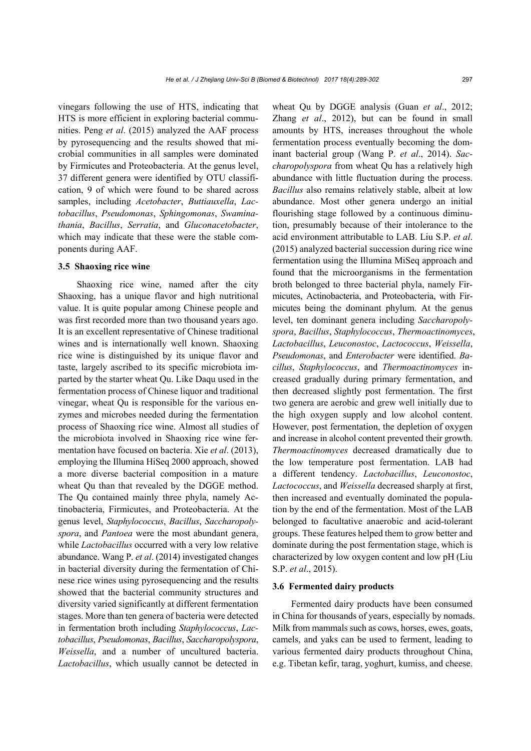vinegars following the use of HTS, indicating that HTS is more efficient in exploring bacterial communities. Peng *et al*. (2015) analyzed the AAF process by pyrosequencing and the results showed that microbial communities in all samples were dominated by Firmicutes and Proteobacteria. At the genus level, 37 different genera were identified by OTU classification, 9 of which were found to be shared across samples, including *Acetobacter*, *Buttiauxella*, *Lactobacillus*, *Pseudomonas*, *Sphingomonas*, *Swaminathania*, *Bacillus*, *Serratia*, and *Gluconacetobacter*, which may indicate that these were the stable components during AAF.

#### **3.5 Shaoxing rice wine**

Shaoxing rice wine, named after the city Shaoxing, has a unique flavor and high nutritional value. It is quite popular among Chinese people and was first recorded more than two thousand years ago. It is an excellent representative of Chinese traditional wines and is internationally well known. Shaoxing rice wine is distinguished by its unique flavor and taste, largely ascribed to its specific microbiota imparted by the starter wheat Qu. Like Daqu used in the fermentation process of Chinese liquor and traditional vinegar, wheat Qu is responsible for the various enzymes and microbes needed during the fermentation process of Shaoxing rice wine. Almost all studies of the microbiota involved in Shaoxing rice wine fermentation have focused on bacteria. Xie *et al*. (2013), employing the Illumina HiSeq 2000 approach, showed a more diverse bacterial composition in a mature wheat Qu than that revealed by the DGGE method. The Qu contained mainly three phyla, namely Actinobacteria, Firmicutes, and Proteobacteria. At the genus level, *Staphylococcus*, *Bacillus*, *Saccharopolyspora*, and *Pantoea* were the most abundant genera, while *Lactobacillus* occurred with a very low relative abundance. Wang P. *et al*. (2014) investigated changes in bacterial diversity during the fermentation of Chinese rice wines using pyrosequencing and the results showed that the bacterial community structures and diversity varied significantly at different fermentation stages. More than ten genera of bacteria were detected in fermentation broth including *Staphylococcus*, *Lactobacillus*, *Pseudomonas*, *Bacillus*, *Saccharopolyspora*, *Weissella*, and a number of uncultured bacteria. *Lactobacillus*, which usually cannot be detected in wheat Qu by DGGE analysis (Guan *et al*., 2012; Zhang *et al*., 2012), but can be found in small amounts by HTS, increases throughout the whole fermentation process eventually becoming the dominant bacterial group (Wang P. *et al*., 2014). *Saccharopolyspora* from wheat Qu has a relatively high abundance with little fluctuation during the process. *Bacillus* also remains relatively stable, albeit at low abundance. Most other genera undergo an initial flourishing stage followed by a continuous diminution, presumably because of their intolerance to the acid environment attributable to LAB. Liu S.P. *et al*. (2015) analyzed bacterial succession during rice wine fermentation using the Illumina MiSeq approach and found that the microorganisms in the fermentation broth belonged to three bacterial phyla, namely Firmicutes, Actinobacteria, and Proteobacteria, with Firmicutes being the dominant phylum. At the genus level, ten dominant genera including *Saccharopolyspora*, *Bacillus*, *Staphylococcus*, *Thermoactinomyces*, *Lactobacillus*, *Leuconostoc*, *Lactococcus*, *Weissella*, *Pseudomonas*, and *Enterobacter* were identified. *Bacillus*, *Staphylococcus*, and *Thermoactinomyces* increased gradually during primary fermentation, and then decreased slightly post fermentation. The first two genera are aerobic and grew well initially due to the high oxygen supply and low alcohol content. However, post fermentation, the depletion of oxygen and increase in alcohol content prevented their growth. *Thermoactinomyces* decreased dramatically due to the low temperature post fermentation. LAB had a different tendency. *Lactobacillus*, *Leuconostoc*, *Lactococcus*, and *Weissella* decreased sharply at first, then increased and eventually dominated the population by the end of the fermentation. Most of the LAB belonged to facultative anaerobic and acid-tolerant groups. These features helped them to grow better and dominate during the post fermentation stage, which is characterized by low oxygen content and low pH (Liu S.P. *et al*., 2015).

#### **3.6 Fermented dairy products**

Fermented dairy products have been consumed in China for thousands of years, especially by nomads. Milk from mammals such as cows, horses, ewes, goats, camels, and yaks can be used to ferment, leading to various fermented dairy products throughout China, e.g. Tibetan kefir, tarag, yoghurt, kumiss, and cheese.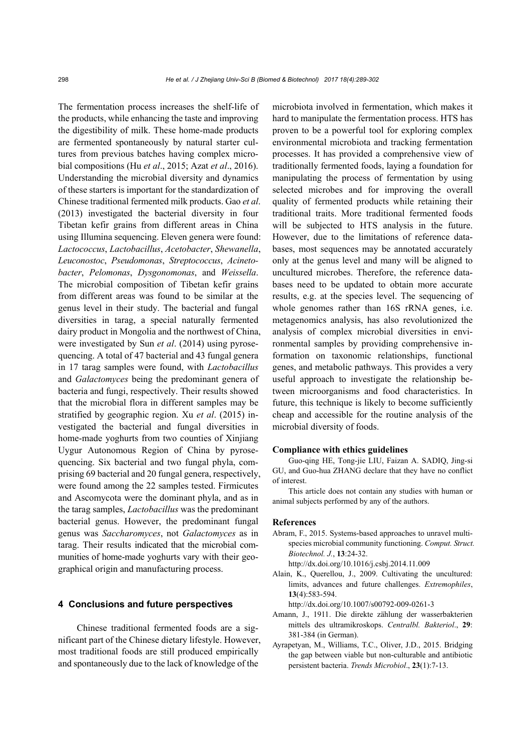The fermentation process increases the shelf-life of the products, while enhancing the taste and improving the digestibility of milk. These home-made products are fermented spontaneously by natural starter cultures from previous batches having complex microbial compositions (Hu *et al*., 2015; Azat *et al*., 2016). Understanding the microbial diversity and dynamics of these starters is important for the standardization of Chinese traditional fermented milk products. Gao *et al*. (2013) investigated the bacterial diversity in four Tibetan kefir grains from different areas in China using Illumina sequencing. Eleven genera were found: *Lactococcus*, *Lactobacillus*, *Acetobacter*, *Shewanella*, *Leuconostoc*, *Pseudomonas*, *Streptococcus*, *Acinetobacter*, *Pelomonas*, *Dysgonomonas*, and *Weissella*. The microbial composition of Tibetan kefir grains from different areas was found to be similar at the genus level in their study. The bacterial and fungal diversities in tarag, a special naturally fermented dairy product in Mongolia and the northwest of China, were investigated by Sun *et al*. (2014) using pyrosequencing. A total of 47 bacterial and 43 fungal genera in 17 tarag samples were found, with *Lactobacillus* and *Galactomyces* being the predominant genera of bacteria and fungi, respectively. Their results showed that the microbial flora in different samples may be stratified by geographic region. Xu *et al*. (2015) investigated the bacterial and fungal diversities in home-made yoghurts from two counties of Xinjiang Uygur Autonomous Region of China by pyrosequencing. Six bacterial and two fungal phyla, comprising 69 bacterial and 20 fungal genera, respectively, were found among the 22 samples tested. Firmicutes and Ascomycota were the dominant phyla, and as in the tarag samples, *Lactobacillus* was the predominant bacterial genus. However, the predominant fungal genus was *Saccharomyces*, not *Galactomyces* as in tarag. Their results indicated that the microbial communities of home-made yoghurts vary with their geographical origin and manufacturing process.

## **4 Conclusions and future perspectives**

Chinese traditional fermented foods are a significant part of the Chinese dietary lifestyle. However, most traditional foods are still produced empirically and spontaneously due to the lack of knowledge of the

microbiota involved in fermentation, which makes it hard to manipulate the fermentation process. HTS has proven to be a powerful tool for exploring complex environmental microbiota and tracking fermentation processes. It has provided a comprehensive view of traditionally fermented foods, laying a foundation for manipulating the process of fermentation by using selected microbes and for improving the overall quality of fermented products while retaining their traditional traits. More traditional fermented foods will be subjected to HTS analysis in the future. However, due to the limitations of reference databases, most sequences may be annotated accurately only at the genus level and many will be aligned to uncultured microbes. Therefore, the reference databases need to be updated to obtain more accurate results, e.g. at the species level. The sequencing of whole genomes rather than 16S rRNA genes, i.e. metagenomics analysis, has also revolutionized the analysis of complex microbial diversities in environmental samples by providing comprehensive information on taxonomic relationships, functional genes, and metabolic pathways. This provides a very useful approach to investigate the relationship between microorganisms and food characteristics. In future, this technique is likely to become sufficiently cheap and accessible for the routine analysis of the microbial diversity of foods.

#### **Compliance with ethics guidelines**

Guo-qing HE, Tong-jie LIU, Faizan A. SADIQ, Jing-si GU, and Guo-hua ZHANG declare that they have no conflict of interest.

This article does not contain any studies with human or animal subjects performed by any of the authors.

#### **References**

- Abram, F., 2015. Systems-based approaches to unravel multispecies microbial community functioning. *Comput. Struct. Biotechnol. J.*, **13**:24-32. http://dx.doi.org/10.1016/j.csbj.2014.11.009
- Alain, K., Querellou, J., 2009. Cultivating the uncultured: limits, advances and future challenges. *Extremophiles*, **13**(4):583-594.

http://dx.doi.org/10.1007/s00792-009-0261-3

- Amann, J., 1911. Die direkte zählung der wasserbakterien mittels des ultramikroskops. *Centralbl. Bakteriol*., **29**: 381-384 (in German).
- Ayrapetyan, M., Williams, T.C., Oliver, J.D., 2015. Bridging the gap between viable but non-culturable and antibiotic persistent bacteria. *Trends Microbiol*., **23**(1):7-13.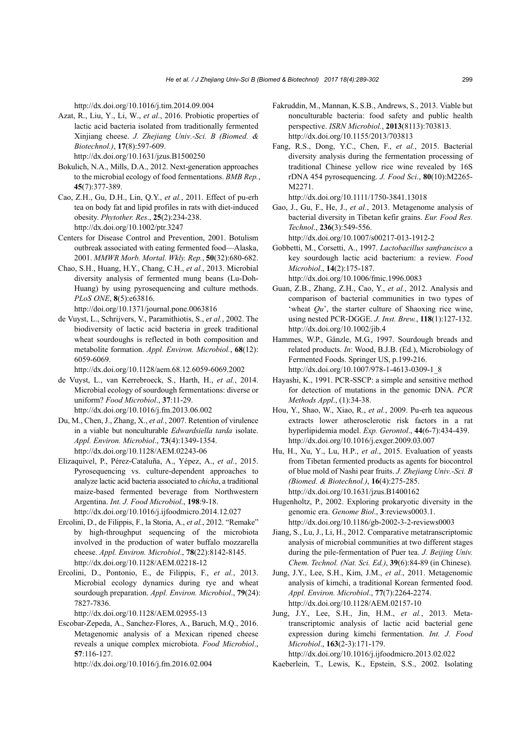http://dx.doi.org/10.1016/j.tim.2014.09.004

Azat, R., Liu, Y., Li, W., *et al*., 2016. Probiotic properties of lactic acid bacteria isolated from traditionally fermented Xinjiang cheese. *J. Zhejiang Univ.-Sci. B (Biomed. & Biotechnol.)*, **17**(8):597-609.

http://dx.doi.org/10.1631/jzus.B1500250

- Bokulich, N.A., Mills, D.A., 2012. Next-generation approaches to the microbial ecology of food fermentations. *BMB Rep.*, **45**(7):377-389.
- Cao, Z.H., Gu, D.H., Lin, Q.Y., *et al.*, 2011. Effect of pu-erh tea on body fat and lipid profiles in rats with diet-induced obesity. *Phytother. Res*., **25**(2):234-238. http://dx.doi.org/10.1002/ptr.3247
- Centers for Disease Control and Prevention, 2001. Botulism outbreak associated with eating fermented food—Alaska, 2001. *MMWR Morb. Mortal. Wkly. Rep.*, **50**(32):680-682.
- Chao, S.H., Huang, H.Y., Chang, C.H., *et al.*, 2013. Microbial diversity analysis of fermented mung beans (Lu-Doh-Huang) by using pyrosequencing and culture methods. *PLoS ONE*, **8**(5):e63816. http://doi.org/10.1371/journal.pone.0063816
- de Vuyst, L., Schrijvers, V., Paramithiotis, S., *et al.*, 2002. The biodiversity of lactic acid bacteria in greek traditional wheat sourdoughs is reflected in both composition and metabolite formation. *Appl. Environ. Microbiol.*, **68**(12): 6059-6069.

http://dx.doi.org/10.1128/aem.68.12.6059-6069.2002

de Vuyst, L., van Kerrebroeck, S., Harth, H., *et al.*, 2014. Microbial ecology of sourdough fermentations: diverse or uniform? *Food Microbiol*., **37**:11-29. http://dx.doi.org/10.1016/j.fm.2013.06.002

- Du, M., Chen, J., Zhang, X., *et al.*, 2007. Retention of virulence in a viable but nonculturable *Edwardsiella tarda* isolate. *Appl. Environ. Microbiol*., **73**(4):1349-1354. http://dx.doi.org/10.1128/AEM.02243-06
- Elizaquivel, P., Pérez-Cataluña, A., Yépez, A., *et al.*, 2015. Pyrosequencing vs. culture-dependent approaches to analyze lactic acid bacteria associated to *chicha*, a traditional maize-based fermented beverage from Northwestern Argentina. *Int. J. Food Microbiol*., **198**:9-18. http://dx.doi.org/10.1016/j.ijfoodmicro.2014.12.027
- Ercolini, D., de Filippis, F., la Storia, A., *et al.*, 2012. "Remake" by high-throughput sequencing of the microbiota involved in the production of water buffalo mozzarella cheese. *Appl. Environ. Microbiol*., **78**(22):8142-8145. http://dx.doi.org/10.1128/AEM.02218-12
- Ercolini, D., Pontonio, E., de Filippis, F., *et al.*, 2013. Microbial ecology dynamics during rye and wheat sourdough preparation. *Appl. Environ. Microbiol*., **79**(24): 7827-7836.

http://dx.doi.org/10.1128/AEM.02955-13

Escobar-Zepeda, A., Sanchez-Flores, A., Baruch, M.Q., 2016. Metagenomic analysis of a Mexican ripened cheese reveals a unique complex microbiota. *Food Microbiol*., **57**:116-127.

http://dx.doi.org/10.1016/j.fm.2016.02.004

- Fakruddin, M., Mannan, K.S.B., Andrews, S., 2013. Viable but nonculturable bacteria: food safety and public health perspective. *ISRN Microbiol.*, **2013**(8113):703813. http://dx.doi.org/10.1155/2013/703813
- Fang, R.S., Dong, Y.C., Chen, F., *et al.*, 2015. Bacterial diversity analysis during the fermentation processing of traditional Chinese yellow rice wine revealed by 16S rDNA 454 pyrosequencing. *J. Food Sci*., **80**(10):M2265- M2271.

http://dx.doi.org/10.1111/1750-3841.13018

Gao, J., Gu, F., He, J., *et al.*, 2013. Metagenome analysis of bacterial diversity in Tibetan kefir grains. *Eur. Food Res. Technol*., **236**(3):549-556.

http://dx.doi.org/10.1007/s00217-013-1912-2

- Gobbetti, M., Corsetti, A., 1997. *Lactobacillus sanfrancisco* a key sourdough lactic acid bacterium: a review. *Food Microbiol*., **14**(2):175-187. http://dx.doi.org/10.1006/fmic.1996.0083
- Guan, Z.B., Zhang, Z.H., Cao, Y., *et al.*, 2012. Analysis and comparison of bacterial communities in two types of 'wheat *Qu*', the starter culture of Shaoxing rice wine, using nested PCR-DGGE. *J. Inst. Brew.*, **118**(1):127-132. http://dx.doi.org/10.1002/jib.4
- Hammes, W.P., Gänzle, M.G., 1997. Sourdough breads and related products. *In*: Wood, B.J.B. (Ed.), Microbiology of Fermented Foods. Springer US, p.199-216. http://dx.doi.org/10.1007/978-1-4613-0309-1\_8
- Hayashi, K., 1991. PCR-SSCP: a simple and sensitive method for detection of mutations in the genomic DNA. *PCR Methods Appl*., (1):34-38.
- Hou, Y., Shao, W., Xiao, R., *et al.*, 2009. Pu-erh tea aqueous extracts lower atherosclerotic risk factors in a rat hyperlipidemia model. *Exp. Gerontol*., **44**(6-7):434-439. http://dx.doi.org/10.1016/j.exger.2009.03.007
- Hu, H., Xu, Y., Lu, H.P., *et al*., 2015. Evaluation of yeasts from Tibetan fermented products as agents for biocontrol of blue mold of Nashi pear fruits. *J. Zhejiang Univ.-Sci. B (Biomed. & Biotechnol.)*, **16**(4):275-285. http://dx.doi.org/10.1631/jzus.B1400162
- Hugenholtz, P., 2002. Exploring prokaryotic diversity in the genomic era. *Genome Biol*., **3**:reviews0003.1. http://dx.doi.org/10.1186/gb-2002-3-2-reviews0003
- Jiang, S., Lu, J., Li, H., 2012. Comparative metatranscriptomic analysis of microbial communities at two different stages during the pile-fermentation of Puer tea. *J. Beijing Univ. Chem. Technol. (Nat. Sci. Ed.)*, **39**(6):84-89 (in Chinese).
- Jung, J.Y., Lee, S.H., Kim, J.M., *et al.*, 2011. Metagenomic analysis of kimchi, a traditional Korean fermented food. *Appl. Environ. Microbiol*., **77**(7):2264-2274. http://dx.doi.org/10.1128/AEM.02157-10
- Jung, J.Y., Lee, S.H., Jin, H.M., *et al.*, 2013. Metatranscriptomic analysis of lactic acid bacterial gene expression during kimchi fermentation. *Int. J. Food Microbiol*., **163**(2-3):171-179. http://dx.doi.org/10.1016/j.ijfoodmicro.2013.02.022

Kaeberlein, T., Lewis, K., Epstein, S.S., 2002. Isolating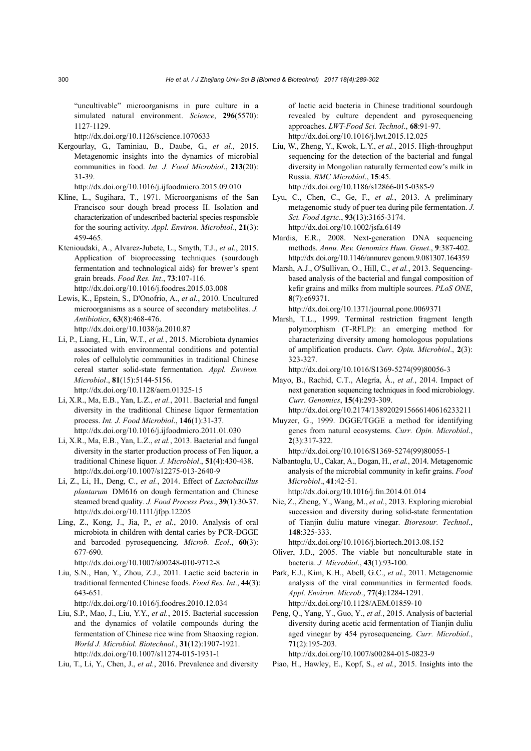"uncultivable" microorganisms in pure culture in a simulated natural environment. *Science*, **296**(5570): 1127-1129.

http://dx.doi.org/10.1126/science.1070633

Kergourlay, G., Taminiau, B., Daube, G., *et al.*, 2015. Metagenomic insights into the dynamics of microbial communities in food. *Int. J. Food Microbiol*., **213**(20): 31-39.

http://dx.doi.org/10.1016/j.ijfoodmicro.2015.09.010

- Kline, L., Sugihara, T., 1971. Microorganisms of the San Francisco sour dough bread process II. Isolation and characterization of undescribed bacterial species responsible for the souring activity. *Appl. Environ. Microbiol.*, **21**(3): 459-465.
- Ktenioudaki, A., Alvarez-Jubete, L., Smyth, T.J., *et al.*, 2015. Application of bioprocessing techniques (sourdough fermentation and technological aids) for brewer's spent grain breads. *Food Res. Int*., **73**:107-116. http://dx.doi.org/10.1016/j.foodres.2015.03.008
- Lewis, K., Epstein, S., D'Onofrio, A., *et al.*, 2010. Uncultured microorganisms as a source of secondary metabolites. *J. Antibiotics*, **63**(8):468-476. http://dx.doi.org/10.1038/ja.2010.87
- Li, P., Liang, H., Lin, W.T., *et al.*, 2015. Microbiota dynamics associated with environmental conditions and potential roles of cellulolytic communities in traditional Chinese cereal starter solid-state fermentation. *Appl. Environ. Microbiol*., **81**(15):5144-5156. http://dx.doi.org/10.1128/aem.01325-15
- Li, X.R., Ma, E.B., Yan, L.Z., *et al.*, 2011. Bacterial and fungal diversity in the traditional Chinese liquor fermentation process. *Int. J. Food Microbiol*., **146**(1):31-37. http://dx.doi.org/10.1016/j.ijfoodmicro.2011.01.030
- Li, X.R., Ma, E.B., Yan, L.Z., *et al.*, 2013. Bacterial and fungal diversity in the starter production process of Fen liquor, a traditional Chinese liquor. *J. Microbiol*., **51**(4):430-438. http://dx.doi.org/10.1007/s12275-013-2640-9
- Li, Z., Li, H., Deng, C., *et al.*, 2014. Effect of *Lactobacillus plantarum* DM616 on dough fermentation and Chinese steamed bread quality. *J. Food Process Pres*., **39**(1):30-37. http://dx.doi.org/10.1111/jfpp.12205
- Ling, Z., Kong, J., Jia, P., *et al.*, 2010. Analysis of oral microbiota in children with dental caries by PCR-DGGE and barcoded pyrosequencing. *Microb. Ecol*., **60**(3): 677-690. http://dx.doi.org/10.1007/s00248-010-9712-8
- Liu, S.N., Han, Y., Zhou, Z.J., 2011. Lactic acid bacteria in traditional fermented Chinese foods. *Food Res. Int*., **44**(3):

643-651. http://dx.doi.org/10.1016/j.foodres.2010.12.034

Liu, S.P., Mao, J., Liu, Y.Y., *et al.*, 2015. Bacterial succession and the dynamics of volatile compounds during the fermentation of Chinese rice wine from Shaoxing region. *World J. Microbiol. Biotechnol*., **31**(12):1907-1921. http://dx.doi.org/10.1007/s11274-015-1931-1

Liu, T., Li, Y., Chen, J., *et al.*, 2016. Prevalence and diversity

of lactic acid bacteria in Chinese traditional sourdough revealed by culture dependent and pyrosequencing approaches. *LWT-Food Sci. Technol*., **68**:91-97. http://dx.doi.org/10.1016/j.lwt.2015.12.025

- Liu, W., Zheng, Y., Kwok, L.Y., *et al.*, 2015. High-throughput sequencing for the detection of the bacterial and fungal diversity in Mongolian naturally fermented cow's milk in Russia. *BMC Microbiol*., **15**:45. http://dx.doi.org/10.1186/s12866-015-0385-9
- Lyu, C., Chen, C., Ge, F., *et al.*, 2013. A preliminary metagenomic study of puer tea during pile fermentation. *J. Sci. Food Agric*., **93**(13):3165-3174. http://dx.doi.org/10.1002/jsfa.6149
- Mardis, E.R., 2008. Next-generation DNA sequencing methods. *Annu. Rev. Genomics Hum. Genet*., **9**:387-402. http://dx.doi.org/10.1146/annurev.genom.9.081307.164359
- Marsh, A.J., O'Sullivan, O., Hill, C., *et al.*, 2013. Sequencingbased analysis of the bacterial and fungal composition of kefir grains and milks from multiple sources. *PLoS ONE*, **8**(7):e69371.

http://dx.doi.org/10.1371/journal.pone.0069371

Marsh, T.L., 1999. Terminal restriction fragment length polymorphism (T-RFLP): an emerging method for characterizing diversity among homologous populations of amplification products. *Curr. Opin. Microbiol*., **2**(3): 323-327.

http://dx.doi.org/10.1016/S1369-5274(99)80056-3

- Mayo, B., Rachid, C.T., Alegría, Á., *et al.*, 2014. Impact of next generation sequencing techniques in food microbiology. *Curr. Genomics*, **15**(4):293-309. http://dx.doi.org/10.2174/1389202915666140616233211
- Muyzer, G., 1999. DGGE/TGGE a method for identifying genes from natural ecosystems. *Curr. Opin. Microbiol*., **2**(3):317-322.

http://dx.doi.org/10.1016/S1369-5274(99)80055-1

- Nalbantoglu, U., Cakar, A., Dogan, H., *et al.*, 2014. Metagenomic analysis of the microbial community in kefir grains. *Food Microbiol*., **41**:42-51. http://dx.doi.org/10.1016/j.fm.2014.01.014
- Nie, Z., Zheng, Y., Wang, M., *et al.*, 2013. Exploring microbial succession and diversity during solid-state fermentation of Tianjin duliu mature vinegar. *Bioresour. Technol*., **148**:325-333.

http://dx.doi.org/10.1016/j.biortech.2013.08.152

- Oliver, J.D., 2005. The viable but nonculturable state in bacteria. *J. Microbiol*., **43**(1):93-100.
- Park, E.J., Kim, K.H., Abell, G.C., *et al*., 2011. Metagenomic analysis of the viral communities in fermented foods. *Appl. Environ. Microb*., **77**(4):1284-1291. http://dx.doi.org/10.1128/AEM.01859-10
- Peng, Q., Yang, Y., Guo, Y., *et al.*, 2015. Analysis of bacterial diversity during acetic acid fermentation of Tianjin duliu aged vinegar by 454 pyrosequencing. *Curr. Microbiol*., **71**(2):195-203.

http://dx.doi.org/10.1007/s00284-015-0823-9

Piao, H., Hawley, E., Kopf, S., *et al.*, 2015. Insights into the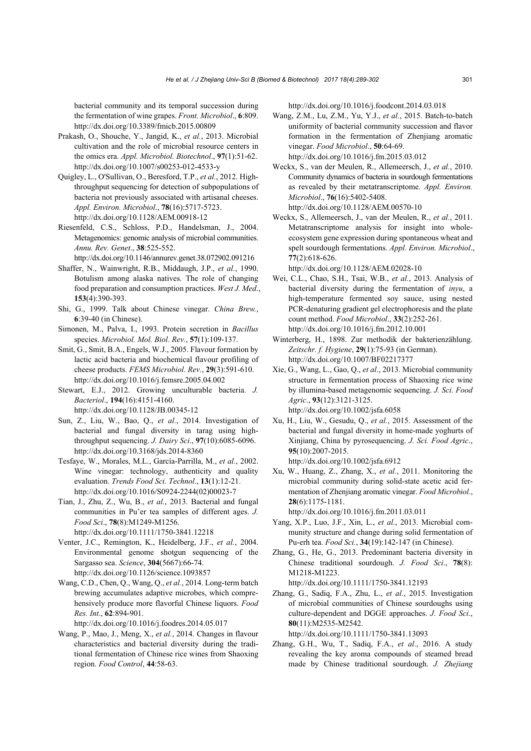bacterial community and its temporal succession during the fermentation of wine grapes. *Front. Microbiol*., **6**:809. http://dx.doi.org/10.3389/fmicb.2015.00809

- Prakash, O., Shouche, Y., Jangid, K., *et al.*, 2013. Microbial cultivation and the role of microbial resource centers in the omics era. *Appl. Microbiol. Biotechnol*., **97**(1):51-62. http://dx.doi.org/10.1007/s00253-012-4533-y
- Quigley, L., O'Sullivan, O., Beresford, T.P., *et al.*, 2012. Highthroughput sequencing for detection of subpopulations of bacteria not previously associated with artisanal cheeses. *Appl. Environ. Microbiol*., **78**(16):5717-5723. http://dx.doi.org/10.1128/AEM.00918-12
- Riesenfeld, C.S., Schloss, P.D., Handelsman, J., 2004. Metagenomics: genomic analysis of microbial communities. *Annu. Rev. Genet*., **38**:525-552.

http://dx.doi.org/10.1146/annurev.genet.38.072902.091216

- Shaffer, N., Wainwright, R.B., Middaugh, J.P., *et al.*, 1990. Botulism among alaska natives. The role of changing food preparation and consumption practices. *West J. Med*., **153**(4):390-393.
- Shi, G., 1999. Talk about Chinese vinegar. *China Brew.*, **6**:39-40 (in Chinese).
- Simonen, M., Palva, I., 1993. Protein secretion in *Bacillus* species. *Microbiol. Mol. Biol. Rev.*, **57**(1):109-137.
- Smit, G., Smit, B.A., Engels, W.J., 2005. Flavour formation by lactic acid bacteria and biochemical flavour profiling of cheese products. *FEMS Microbiol. Rev*., **29**(3):591-610. http://dx.doi.org/10.1016/j.femsre.2005.04.002
- Stewart, E.J., 2012. Growing unculturable bacteria. *J. Bacteriol*., **194**(16):4151-4160.
	- http://dx.doi.org/10.1128/JB.00345-12
- Sun, Z., Liu, W., Bao, Q., *et al.*, 2014. Investigation of bacterial and fungal diversity in tarag using highthroughput sequencing. *J. Dairy Sci*., **97**(10):6085-6096. http://dx.doi.org/10.3168/jds.2014-8360
- Tesfaye, W., Morales, M.L., García-Parrilla, M., *et al.*, 2002. Wine vinegar: technology, authenticity and quality evaluation. *Trends Food Sci. Technol*., **13**(1):12-21. http://dx.doi.org/10.1016/S0924-2244(02)00023-7
- Tian, J., Zhu, Z., Wu, B., *et al.*, 2013. Bacterial and fungal communities in Pu'er tea samples of different ages. *J. Food Sci*., **78**(8):M1249-M1256. http://dx.doi.org/10.1111/1750-3841.12218
- Venter, J.C., Remington, K., Heidelberg, J.F., *et al.*, 2004. Environmental genome shotgun sequencing of the Sargasso sea. *Science*, **304**(5667):66-74. http://dx.doi.org/10.1126/science.1093857
- Wang, C.D., Chen, Q., Wang, Q., *et al.*, 2014. Long-term batch brewing accumulates adaptive microbes, which comprehensively produce more flavorful Chinese liquors. *Food Res. Int*., **62**:894-901.

http://dx.doi.org/10.1016/j.foodres.2014.05.017

Wang, P., Mao, J., Meng, X., *et al.*, 2014. Changes in flavour characteristics and bacterial diversity during the traditional fermentation of Chinese rice wines from Shaoxing region. *Food Control*, **44**:58-63.

http://dx.doi.org/10.1016/j.foodcont.2014.03.018

- Wang, Z.M., Lu, Z.M., Yu, Y.J., *et al.*, 2015. Batch-to-batch uniformity of bacterial community succession and flavor formation in the fermentation of Zhenjiang aromatic vinegar. *Food Microbiol*., **50**:64-69. http://dx.doi.org/10.1016/j.fm.2015.03.012
- Weckx, S., van der Meulen, R., Allemeersch, J., *et al.*, 2010. Community dynamics of bacteria in sourdough fermentations as revealed by their metatranscriptome. *Appl. Environ. Microbiol*., **76**(16):5402-5408. http://dx.doi.org/10.1128/AEM.00570-10
- Weckx, S., Allemeersch, J., van der Meulen, R., *et al.*, 2011. Metatranscriptome analysis for insight into wholeecosystem gene expression during spontaneous wheat and spelt sourdough fermentations. *Appl. Environ. Microbiol*., **77**(2):618-626.

http://dx.doi.org/10.1128/AEM.02028-10

- Wei, C.L., Chao, S.H., Tsai, W.B., *et al.*, 2013. Analysis of bacterial diversity during the fermentation of *inyu*, a high-temperature fermented soy sauce, using nested PCR-denaturing gradient gel electrophoresis and the plate count method. *Food Microbiol*., **33**(2):252-261. http://dx.doi.org/10.1016/j.fm.2012.10.001
- Winterberg, H., 1898. Zur methodik der bakterienzählung. *Zeitschr. f. Hygiene*, **29**(1):75-93 (in German). http://dx.doi.org/10.1007/BF02217377
- Xie, G., Wang, L., Gao, Q., *et al.*, 2013. Microbial community structure in fermentation process of Shaoxing rice wine by illumina-based metagenomic sequencing. *J. Sci. Food Agric*., **93**(12):3121-3125. http://dx.doi.org/10.1002/jsfa.6058
- Xu, H., Liu, W., Gesudu, Q., *et al.*, 2015. Assessment of the bacterial and fungal diversity in home-made yoghurts of Xinjiang, China by pyrosequencing. *J. Sci. Food Agric*., **95**(10):2007-2015.

http://dx.doi.org/10.1002/jsfa.6912

Xu, W., Huang, Z., Zhang, X., *et al.*, 2011. Monitoring the microbial community during solid-state acetic acid fermentation of Zhenjiang aromatic vinegar. *Food Microbiol.*, **28**(6):1175-1181.

http://dx.doi.org/10.1016/j.fm.2011.03.011

- Yang, X.P., Luo, J.F., Xin, L., *et al.*, 2013. Microbial community structure and change during solid fermentation of Pu-erh tea. *Food Sci.*, **34**(19):142-147 (in Chinese).
- Zhang, G., He, G., 2013. Predominant bacteria diversity in Chinese traditional sourdough. *J. Food Sci*., **78**(8): M1218-M1223. http://dx.doi.org/10.1111/1750-3841.12193

Zhang, G., Sadiq, F.A., Zhu, L., *et al.*, 2015. Investigation of microbial communities of Chinese sourdoughs using culture-dependent and DGGE approaches. *J. Food Sci*., **80**(11):M2535-M2542.

http://dx.doi.org/10.1111/1750-3841.13093

Zhang, G.H., Wu, T., Sadiq, F.A., *et al*., 2016. A study revealing the key aroma compounds of steamed bread made by Chinese traditional sourdough. *J. Zhejiang*